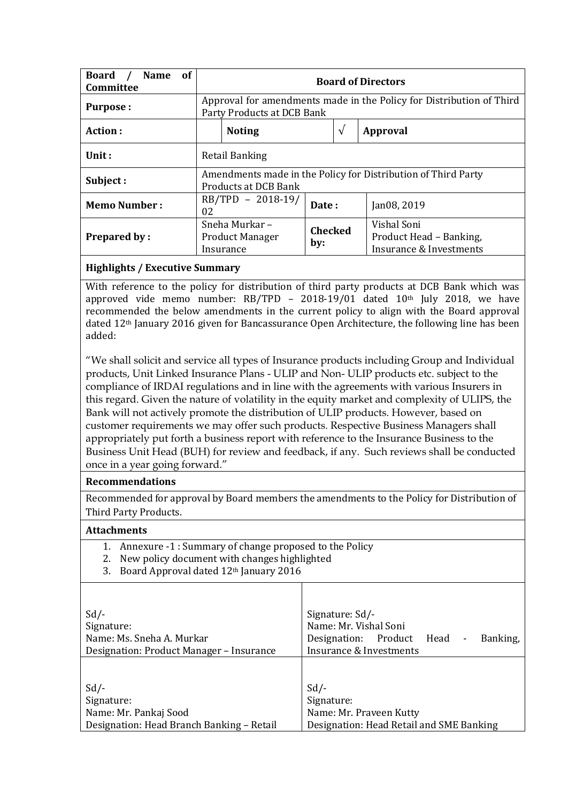| <b>of</b><br><b>Board</b><br><b>Name</b><br>Committee | <b>Board of Directors</b>                                                                          |                       |                                                                   |
|-------------------------------------------------------|----------------------------------------------------------------------------------------------------|-----------------------|-------------------------------------------------------------------|
| Purpose:                                              | Approval for amendments made in the Policy for Distribution of Third<br>Party Products at DCB Bank |                       |                                                                   |
| Action:                                               | <b>Noting</b>                                                                                      | $\sqrt{ }$            | <b>Approval</b>                                                   |
| Unit:                                                 | Retail Banking                                                                                     |                       |                                                                   |
| Subject:                                              | Amendments made in the Policy for Distribution of Third Party<br>Products at DCB Bank              |                       |                                                                   |
| <b>Memo Number:</b>                                   | RB/TPD - 2018-19/<br>02                                                                            | Date:                 | Jan08, 2019                                                       |
| <b>Prepared by:</b>                                   | Sneha Murkar -<br><b>Product Manager</b><br>Insurance                                              | <b>Checked</b><br>by: | Vishal Soni<br>Product Head - Banking,<br>Insurance & Investments |

### **Highlights / Executive Summary**

With reference to the policy for distribution of third party products at DCB Bank which was approved vide memo number:  $RB/TPD - 2018-19/01$  dated  $10<sup>th</sup>$  July 2018, we have recommended the below amendments in the current policy to align with the Board approval dated 12th January 2016 given for Bancassurance Open Architecture, the following line has been added:

"We shall solicit and service all types of Insurance products including Group and Individual products, Unit Linked Insurance Plans - ULIP and Non- ULIP products etc. subject to the compliance of IRDAI regulations and in line with the agreements with various Insurers in this regard. Given the nature of volatility in the equity market and complexity of ULIPS, the Bank will not actively promote the distribution of ULIP products. However, based on customer requirements we may offer such products. Respective Business Managers shall appropriately put forth a business report with reference to the Insurance Business to the Business Unit Head (BUH) for review and feedback, if any. Such reviews shall be conducted once in a year going forward."

#### **Recommendations**

Recommended for approval by Board members the amendments to the Policy for Distribution of Third Party Products.

#### **Attachments**

- 1. Annexure -1 : Summary of change proposed to the Policy
- 2. New policy document with changes highlighted
- 3. Board Approval dated 12<sup>th</sup> January 2016

| $Sd$ /-                                   | Signature: Sd/-                                                   |  |  |
|-------------------------------------------|-------------------------------------------------------------------|--|--|
| Signature:                                | Name: Mr. Vishal Soni                                             |  |  |
| Name: Ms. Sneha A. Murkar                 | Banking,<br>Designation: Product Head<br>$\overline{\phantom{a}}$ |  |  |
| Designation: Product Manager - Insurance  | Insurance & Investments                                           |  |  |
|                                           |                                                                   |  |  |
|                                           |                                                                   |  |  |
| $Sd$ /-                                   | $Sd$ /-                                                           |  |  |
| Signature:                                | Signature:                                                        |  |  |
| Name: Mr. Pankaj Sood                     | Name: Mr. Praveen Kutty                                           |  |  |
| Designation: Head Branch Banking - Retail | Designation: Head Retail and SME Banking                          |  |  |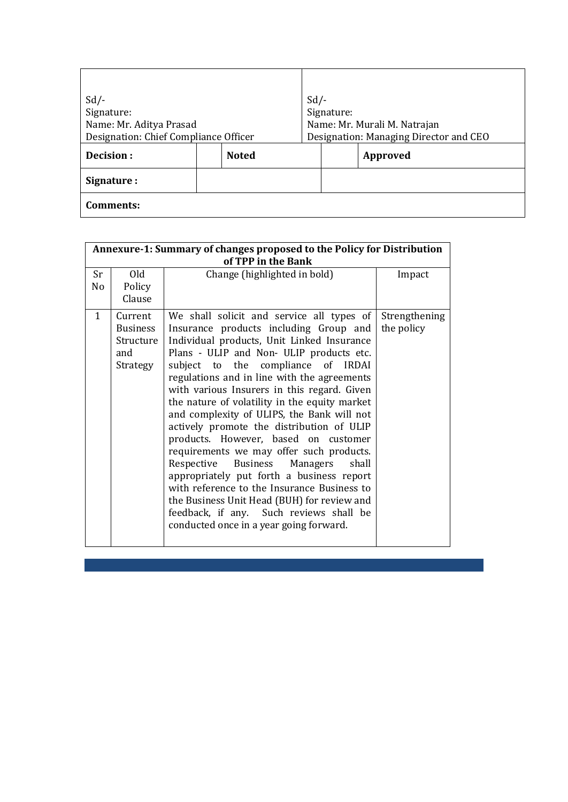| $Sd$ /-                 |                                       | $Sd$ /- |                                        |  |
|-------------------------|---------------------------------------|---------|----------------------------------------|--|
| Signature:              |                                       |         | Signature:                             |  |
| Name: Mr. Aditya Prasad |                                       |         | Name: Mr. Murali M. Natrajan           |  |
|                         | Designation: Chief Compliance Officer |         | Designation: Managing Director and CEO |  |
| Decision:               | <b>Noted</b>                          |         | Approved                               |  |
| Signature :             |                                       |         |                                        |  |
| Comments:               |                                       |         |                                        |  |

| Annexure-1: Summary of changes proposed to the Policy for Distribution<br>of TPP in the Bank |                                                            |                                                                                                                                                                                                                                                                                                                                                                                                                                                                                                                                                                                                                                                                                                                                                                                                                             |                             |
|----------------------------------------------------------------------------------------------|------------------------------------------------------------|-----------------------------------------------------------------------------------------------------------------------------------------------------------------------------------------------------------------------------------------------------------------------------------------------------------------------------------------------------------------------------------------------------------------------------------------------------------------------------------------------------------------------------------------------------------------------------------------------------------------------------------------------------------------------------------------------------------------------------------------------------------------------------------------------------------------------------|-----------------------------|
| Sr<br>No                                                                                     | Old<br>Policy<br>Clause                                    | Change (highlighted in bold)                                                                                                                                                                                                                                                                                                                                                                                                                                                                                                                                                                                                                                                                                                                                                                                                | Impact                      |
| $\mathbf{1}$                                                                                 | Current<br><b>Business</b><br>Structure<br>and<br>Strategy | We shall solicit and service all types of<br>Insurance products including Group and<br>Individual products, Unit Linked Insurance<br>Plans - ULIP and Non- ULIP products etc.<br>subject to the compliance of IRDAI<br>regulations and in line with the agreements<br>with various Insurers in this regard. Given<br>the nature of volatility in the equity market<br>and complexity of ULIPS, the Bank will not<br>actively promote the distribution of ULIP<br>products. However, based on customer<br>requirements we may offer such products.<br>Respective Business Managers<br>shall<br>appropriately put forth a business report<br>with reference to the Insurance Business to<br>the Business Unit Head (BUH) for review and<br>feedback, if any. Such reviews shall be<br>conducted once in a year going forward. | Strengthening<br>the policy |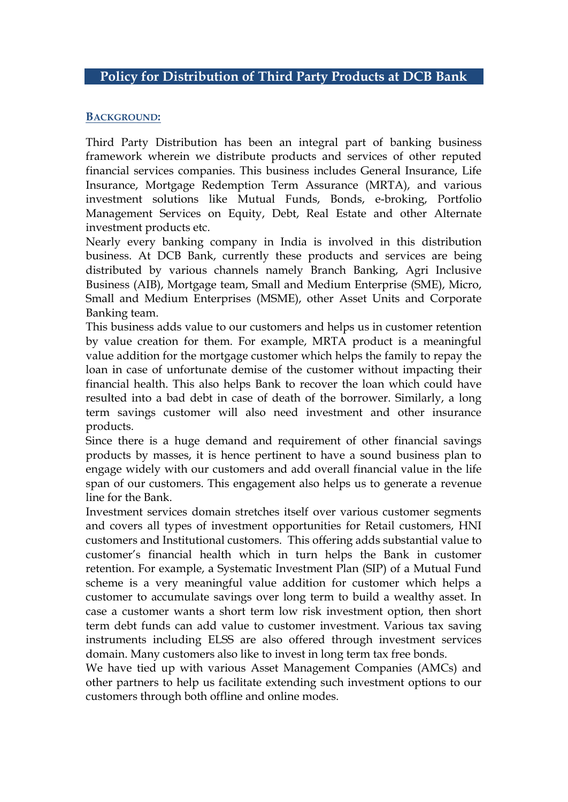## **BACKGROUND:**

Third Party Distribution has been an integral part of banking business framework wherein we distribute products and services of other reputed financial services companies. This business includes General Insurance, Life Insurance, Mortgage Redemption Term Assurance (MRTA), and various investment solutions like Mutual Funds, Bonds, e-broking, Portfolio Management Services on Equity, Debt, Real Estate and other Alternate investment products etc.

Nearly every banking company in India is involved in this distribution business. At DCB Bank, currently these products and services are being distributed by various channels namely Branch Banking, Agri Inclusive Business (AIB), Mortgage team, Small and Medium Enterprise (SME), Micro, Small and Medium Enterprises (MSME), other Asset Units and Corporate Banking team.

This business adds value to our customers and helps us in customer retention by value creation for them. For example, MRTA product is a meaningful value addition for the mortgage customer which helps the family to repay the loan in case of unfortunate demise of the customer without impacting their financial health. This also helps Bank to recover the loan which could have resulted into a bad debt in case of death of the borrower. Similarly, a long term savings customer will also need investment and other insurance products.

Since there is a huge demand and requirement of other financial savings products by masses, it is hence pertinent to have a sound business plan to engage widely with our customers and add overall financial value in the life span of our customers. This engagement also helps us to generate a revenue line for the Bank.

Investment services domain stretches itself over various customer segments and covers all types of investment opportunities for Retail customers, HNI customers and Institutional customers. This offering adds substantial value to customer's financial health which in turn helps the Bank in customer retention. For example, a Systematic Investment Plan (SIP) of a Mutual Fund scheme is a very meaningful value addition for customer which helps a customer to accumulate savings over long term to build a wealthy asset. In case a customer wants a short term low risk investment option, then short term debt funds can add value to customer investment. Various tax saving instruments including ELSS are also offered through investment services domain. Many customers also like to invest in long term tax free bonds.

We have tied up with various Asset Management Companies (AMCs) and other partners to help us facilitate extending such investment options to our customers through both offline and online modes.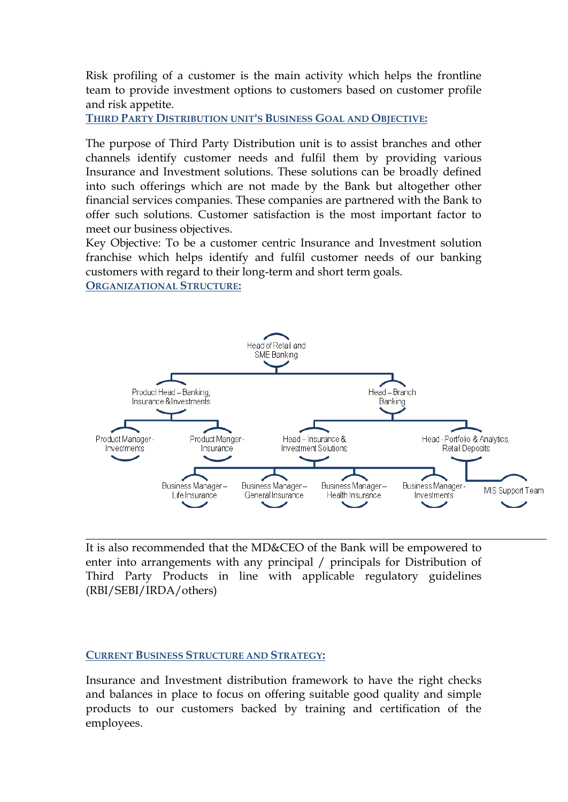Risk profiling of a customer is the main activity which helps the frontline team to provide investment options to customers based on customer profile and risk appetite.

**THIRD PARTY DISTRIBUTION UNIT'S BUSINESS GOAL AND OBJECTIVE:**

The purpose of Third Party Distribution unit is to assist branches and other channels identify customer needs and fulfil them by providing various Insurance and Investment solutions. These solutions can be broadly defined into such offerings which are not made by the Bank but altogether other financial services companies. These companies are partnered with the Bank to offer such solutions. Customer satisfaction is the most important factor to meet our business objectives.

Key Objective: To be a customer centric Insurance and Investment solution franchise which helps identify and fulfil customer needs of our banking customers with regard to their long-term and short term goals. **ORGANIZATIONAL STRUCTURE:**



It is also recommended that the MD&CEO of the Bank will be empowered to enter into arrangements with any principal / principals for Distribution of Third Party Products in line with applicable regulatory guidelines (RBI/SEBI/IRDA/others)

### **CURRENT BUSINESS STRUCTURE AND STRATEGY:**

Insurance and Investment distribution framework to have the right checks and balances in place to focus on offering suitable good quality and simple products to our customers backed by training and certification of the employees.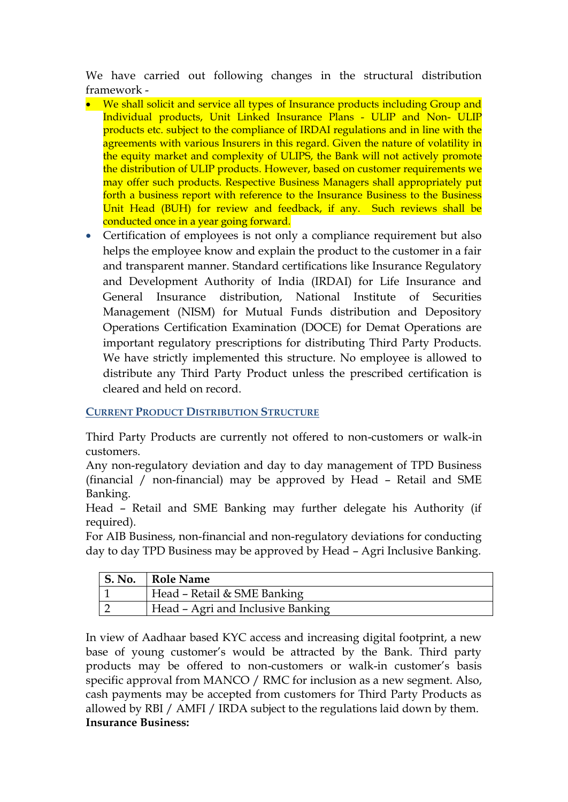We have carried out following changes in the structural distribution framework -

- We shall solicit and service all types of Insurance products including Group and Individual products, Unit Linked Insurance Plans - ULIP and Non- ULIP products etc. subject to the compliance of IRDAI regulations and in line with the agreements with various Insurers in this regard. Given the nature of volatility in the equity market and complexity of ULIPS, the Bank will not actively promote the distribution of ULIP products. However, based on customer requirements we may offer such products. Respective Business Managers shall appropriately put forth a business report with reference to the Insurance Business to the Business Unit Head (BUH) for review and feedback, if any. Such reviews shall be conducted once in a year going forward.
- Certification of employees is not only a compliance requirement but also helps the employee know and explain the product to the customer in a fair and transparent manner. Standard certifications like Insurance Regulatory and Development Authority of India (IRDAI) for Life Insurance and General Insurance distribution, National Institute of Securities Management (NISM) for Mutual Funds distribution and Depository Operations Certification Examination (DOCE) for Demat Operations are important regulatory prescriptions for distributing Third Party Products. We have strictly implemented this structure. No employee is allowed to distribute any Third Party Product unless the prescribed certification is cleared and held on record.

# **CURRENT PRODUCT DISTRIBUTION STRUCTURE**

Third Party Products are currently not offered to non-customers or walk-in customers.

Any non-regulatory deviation and day to day management of TPD Business (financial / non-financial) may be approved by Head – Retail and SME Banking.

Head – Retail and SME Banking may further delegate his Authority (if required).

For AIB Business, non-financial and non-regulatory deviations for conducting day to day TPD Business may be approved by Head – Agri Inclusive Banking.

| S. No.   Role Name                |
|-----------------------------------|
| Head - Retail & SME Banking       |
| Head - Agri and Inclusive Banking |

In view of Aadhaar based KYC access and increasing digital footprint, a new base of young customer's would be attracted by the Bank. Third party products may be offered to non-customers or walk-in customer's basis specific approval from MANCO / RMC for inclusion as a new segment. Also, cash payments may be accepted from customers for Third Party Products as allowed by RBI / AMFI / IRDA subject to the regulations laid down by them. **Insurance Business:**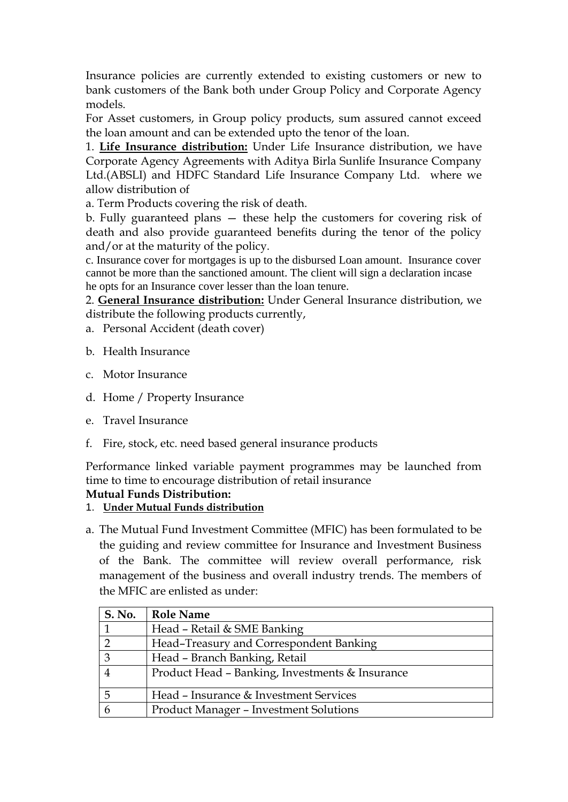Insurance policies are currently extended to existing customers or new to bank customers of the Bank both under Group Policy and Corporate Agency models.

For Asset customers, in Group policy products, sum assured cannot exceed the loan amount and can be extended upto the tenor of the loan.

1. **Life Insurance distribution:** Under Life Insurance distribution, we have Corporate Agency Agreements with Aditya Birla Sunlife Insurance Company Ltd.(ABSLI) and HDFC Standard Life Insurance Company Ltd. where we allow distribution of

a. Term Products covering the risk of death.

b. Fully guaranteed plans — these help the customers for covering risk of death and also provide guaranteed benefits during the tenor of the policy and/or at the maturity of the policy.

c. Insurance cover for mortgages is up to the disbursed Loan amount. Insurance cover cannot be more than the sanctioned amount. The client will sign a declaration incase he opts for an Insurance cover lesser than the loan tenure.

2. **General Insurance distribution:** Under General Insurance distribution, we distribute the following products currently,

- a. Personal Accident (death cover)
- b. Health Insurance
- c. Motor Insurance
- d. Home / Property Insurance
- e. Travel Insurance
- f. Fire, stock, etc. need based general insurance products

Performance linked variable payment programmes may be launched from time to time to encourage distribution of retail insurance

## **Mutual Funds Distribution:**

### 1. **Under Mutual Funds distribution**

a. The Mutual Fund Investment Committee (MFIC) has been formulated to be the guiding and review committee for Insurance and Investment Business of the Bank. The committee will review overall performance, risk management of the business and overall industry trends. The members of the MFIC are enlisted as under:

| S. No. | <b>Role Name</b>                                |
|--------|-------------------------------------------------|
|        | Head - Retail & SME Banking                     |
| റ      | Head-Treasury and Correspondent Banking         |
| 3      | Head - Branch Banking, Retail                   |
|        | Product Head - Banking, Investments & Insurance |
| 5      | Head – Insurance & Investment Services          |
|        | <b>Product Manager - Investment Solutions</b>   |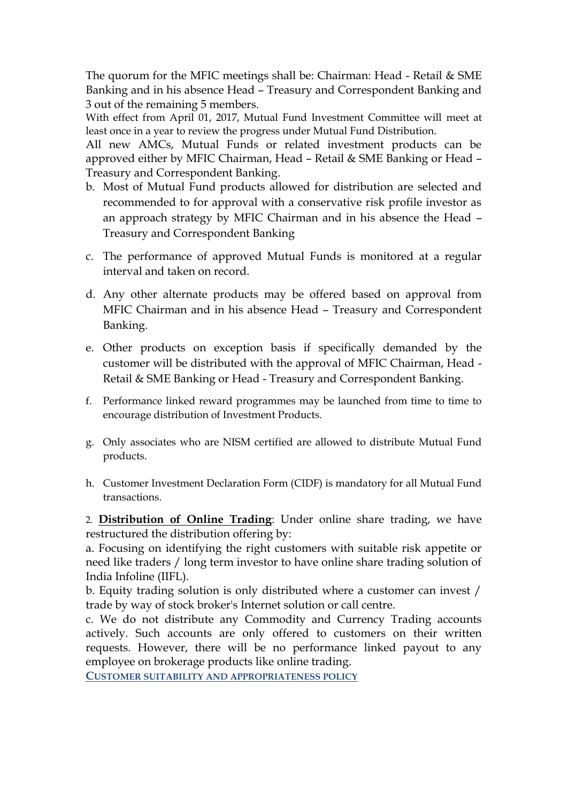The quorum for the MFIC meetings shall be: Chairman: Head - Retail & SME Banking and in his absence Head – Treasury and Correspondent Banking and 3 out of the remaining 5 members.

With effect from April 01, 2017, Mutual Fund Investment Committee will meet at least once in a year to review the progress under Mutual Fund Distribution.

All new AMCs, Mutual Funds or related investment products can be approved either by MFIC Chairman, Head – Retail & SME Banking or Head – Treasury and Correspondent Banking.

- b. Most of Mutual Fund products allowed for distribution are selected and recommended to for approval with a conservative risk profile investor as an approach strategy by MFIC Chairman and in his absence the Head – Treasury and Correspondent Banking
- c. The performance of approved Mutual Funds is monitored at a regular interval and taken on record.
- d. Any other alternate products may be offered based on approval from MFIC Chairman and in his absence Head – Treasury and Correspondent Banking.
- e. Other products on exception basis if specifically demanded by the customer will be distributed with the approval of MFIC Chairman, Head - Retail & SME Banking or Head - Treasury and Correspondent Banking.
- f. Performance linked reward programmes may be launched from time to time to encourage distribution of Investment Products.
- g. Only associates who are NISM certified are allowed to distribute Mutual Fund products.
- h. Customer Investment Declaration Form (CIDF) is mandatory for all Mutual Fund transactions.

2. **Distribution of Online Trading**: Under online share trading, we have restructured the distribution offering by:

a. Focusing on identifying the right customers with suitable risk appetite or need like traders / long term investor to have online share trading solution of India Infoline (IIFL).

b. Equity trading solution is only distributed where a customer can invest / trade by way of stock broker's Internet solution or call centre.

c. We do not distribute any Commodity and Currency Trading accounts actively. Such accounts are only offered to customers on their written requests. However, there will be no performance linked payout to any employee on brokerage products like online trading.

**CUSTOMER SUITABILITY AND APPROPRIATENESS POLICY**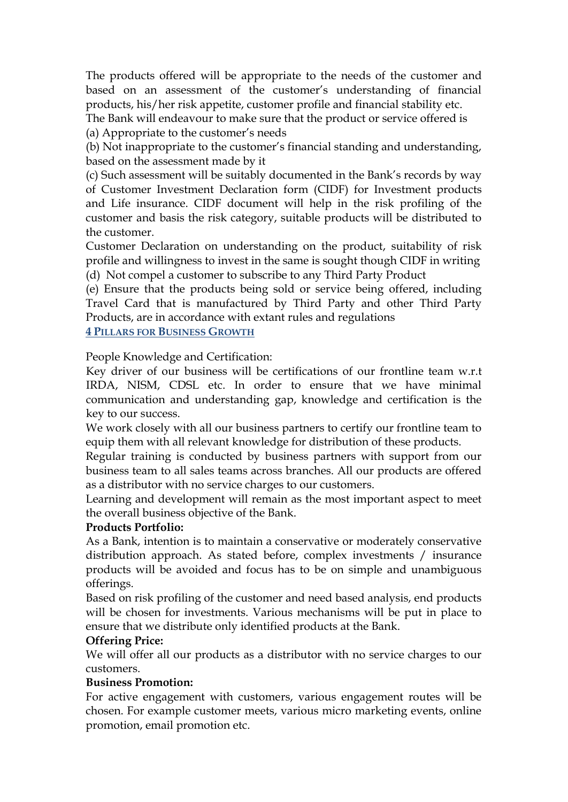The products offered will be appropriate to the needs of the customer and based on an assessment of the customer's understanding of financial products, his/her risk appetite, customer profile and financial stability etc.

The Bank will endeavour to make sure that the product or service offered is (a) Appropriate to the customer's needs

(b) Not inappropriate to the customer's financial standing and understanding, based on the assessment made by it

(c) Such assessment will be suitably documented in the Bank's records by way of Customer Investment Declaration form (CIDF) for Investment products and Life insurance. CIDF document will help in the risk profiling of the customer and basis the risk category, suitable products will be distributed to the customer.

Customer Declaration on understanding on the product, suitability of risk profile and willingness to invest in the same is sought though CIDF in writing (d) Not compel a customer to subscribe to any Third Party Product

(e) Ensure that the products being sold or service being offered, including Travel Card that is manufactured by Third Party and other Third Party Products, are in accordance with extant rules and regulations

**4 PILLARS FOR BUSINESS GROWTH**

People Knowledge and Certification:

Key driver of our business will be certifications of our frontline team w.r.t IRDA, NISM, CDSL etc. In order to ensure that we have minimal communication and understanding gap, knowledge and certification is the key to our success.

We work closely with all our business partners to certify our frontline team to equip them with all relevant knowledge for distribution of these products.

Regular training is conducted by business partners with support from our business team to all sales teams across branches. All our products are offered as a distributor with no service charges to our customers.

Learning and development will remain as the most important aspect to meet the overall business objective of the Bank.

### **Products Portfolio:**

As a Bank, intention is to maintain a conservative or moderately conservative distribution approach. As stated before, complex investments / insurance products will be avoided and focus has to be on simple and unambiguous offerings.

Based on risk profiling of the customer and need based analysis, end products will be chosen for investments. Various mechanisms will be put in place to ensure that we distribute only identified products at the Bank.

# **Offering Price:**

We will offer all our products as a distributor with no service charges to our customers.

### **Business Promotion:**

For active engagement with customers, various engagement routes will be chosen. For example customer meets, various micro marketing events, online promotion, email promotion etc.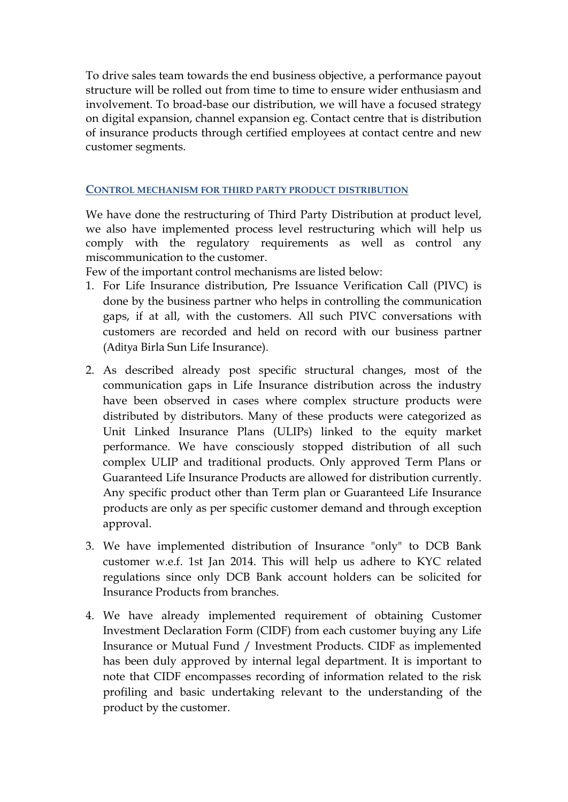To drive sales team towards the end business objective, a performance payout structure will be rolled out from time to time to ensure wider enthusiasm and involvement. To broad-base our distribution, we will have a focused strategy on digital expansion, channel expansion eg. Contact centre that is distribution of insurance products through certified employees at contact centre and new customer segments.

## **CONTROL MECHANISM FOR THIRD PARTY PRODUCT DISTRIBUTION**

We have done the restructuring of Third Party Distribution at product level, we also have implemented process level restructuring which will help us comply with the regulatory requirements as well as control any miscommunication to the customer.

Few of the important control mechanisms are listed below:

- 1. For Life Insurance distribution, Pre Issuance Verification Call (PIVC) is done by the business partner who helps in controlling the communication gaps, if at all, with the customers. All such PIVC conversations with customers are recorded and held on record with our business partner (Aditya Birla Sun Life Insurance).
- 2. As described already post specific structural changes, most of the communication gaps in Life Insurance distribution across the industry have been observed in cases where complex structure products were distributed by distributors. Many of these products were categorized as Unit Linked Insurance Plans (ULIPs) linked to the equity market performance. We have consciously stopped distribution of all such complex ULIP and traditional products. Only approved Term Plans or Guaranteed Life Insurance Products are allowed for distribution currently. Any specific product other than Term plan or Guaranteed Life Insurance products are only as per specific customer demand and through exception approval.
- 3. We have implemented distribution of Insurance "only" to DCB Bank customer w.e.f. 1st Jan 2014. This will help us adhere to KYC related regulations since only DCB Bank account holders can be solicited for Insurance Products from branches.
- 4. We have already implemented requirement of obtaining Customer Investment Declaration Form (CIDF) from each customer buying any Life Insurance or Mutual Fund / Investment Products. CIDF as implemented has been duly approved by internal legal department. It is important to note that CIDF encompasses recording of information related to the risk profiling and basic undertaking relevant to the understanding of the product by the customer.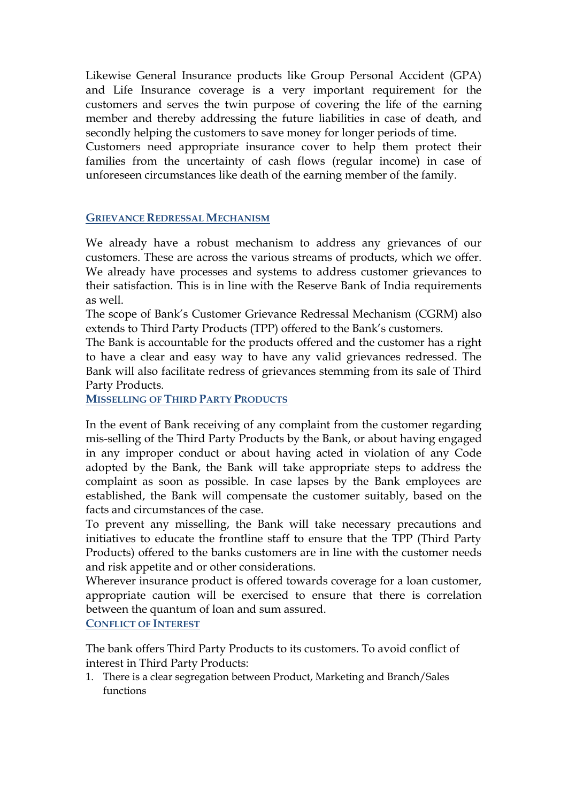Likewise General Insurance products like Group Personal Accident (GPA) and Life Insurance coverage is a very important requirement for the customers and serves the twin purpose of covering the life of the earning member and thereby addressing the future liabilities in case of death, and secondly helping the customers to save money for longer periods of time.

Customers need appropriate insurance cover to help them protect their families from the uncertainty of cash flows (regular income) in case of unforeseen circumstances like death of the earning member of the family.

#### **GRIEVANCE REDRESSAL MECHANISM**

We already have a robust mechanism to address any grievances of our customers. These are across the various streams of products, which we offer. We already have processes and systems to address customer grievances to their satisfaction. This is in line with the Reserve Bank of India requirements as well.

The scope of Bank's Customer Grievance Redressal Mechanism (CGRM) also extends to Third Party Products (TPP) offered to the Bank's customers.

The Bank is accountable for the products offered and the customer has a right to have a clear and easy way to have any valid grievances redressed. The Bank will also facilitate redress of grievances stemming from its sale of Third Party Products.

**MISSELLING OF THIRD PARTY PRODUCTS**

In the event of Bank receiving of any complaint from the customer regarding mis-selling of the Third Party Products by the Bank, or about having engaged in any improper conduct or about having acted in violation of any Code adopted by the Bank, the Bank will take appropriate steps to address the complaint as soon as possible. In case lapses by the Bank employees are established, the Bank will compensate the customer suitably, based on the facts and circumstances of the case.

To prevent any misselling, the Bank will take necessary precautions and initiatives to educate the frontline staff to ensure that the TPP (Third Party Products) offered to the banks customers are in line with the customer needs and risk appetite and or other considerations.

Wherever insurance product is offered towards coverage for a loan customer, appropriate caution will be exercised to ensure that there is correlation between the quantum of loan and sum assured.

**CONFLICT OF INTEREST**

The bank offers Third Party Products to its customers. To avoid conflict of interest in Third Party Products:

1. There is a clear segregation between Product, Marketing and Branch/Sales functions